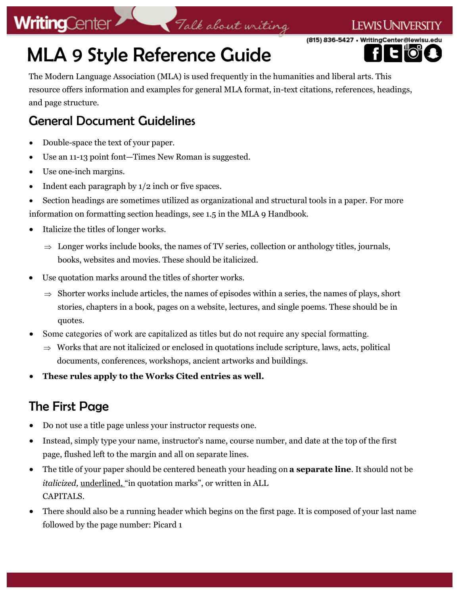### **LEWIS UNIVERSITY**

(815) 836-5427 • WritingCenter@lewisu.

## MLA 9 Style Reference Guide

The Modern Language Association (MLA) is used frequently in the humanities and liberal arts. This resource offers information and examples for general MLA format, in-text citations, references, headings, and page structure.

Talk about writing

### General Document Guidelines

- Double-space the text of your paper.
- Use an 11-13 point font—Times New Roman is suggested.
- Use one-inch margins.
- Indent each paragraph by  $1/2$  inch or five spaces.
- Section headings are sometimes utilized as organizational and structural tools in a paper. For more information on formatting section headings, see 1.5 in the MLA 9 Handbook.
- Italicize the titles of longer works.
	- $\Rightarrow$  Longer works include books, the names of TV series, collection or anthology titles, journals, books, websites and movies. These should be italicized.
- Use quotation marks around the titles of shorter works.
	- $\Rightarrow$  Shorter works include articles, the names of episodes within a series, the names of plays, short stories, chapters in a book, pages on a website, lectures, and single poems. These should be in quotes.
- Some categories of work are capitalized as titles but do not require any special formatting.
	- $\Rightarrow$  Works that are not italicized or enclosed in quotations include scripture, laws, acts, political documents, conferences, workshops, ancient artworks and buildings.
- **These rules apply to the Works Cited entries as well.**

### The First Page

- Do not use a title page unless your instructor requests one.
- Instead, simply type your name, instructor's name, course number, and date at the top of the first page, flushed left to the margin and all on separate lines.
- The title of your paper should be centered beneath your heading on **a separate line**. It should not be *italicized,* underlined, "in quotation marks", or written in ALL CAPITALS.
- There should also be a running header which begins on the first page. It is composed of your last name followed by the page number: Picard 1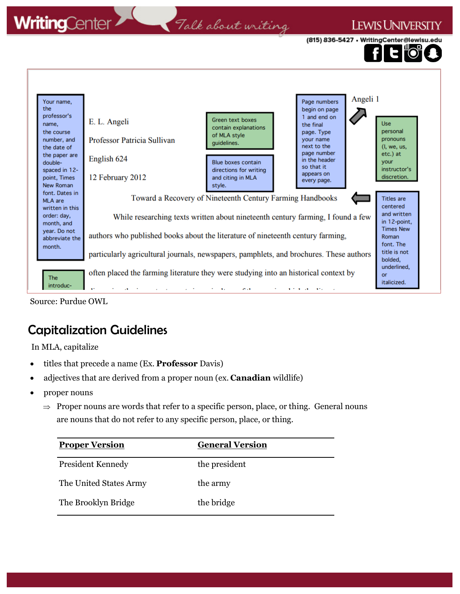### Talk about writing

### **LEWIS UNIVERSITY**

(815) 836-5427 • WritingCenter@lewisu.



Source: Purdue OWL

### Capitalization Guidelines

In MLA, capitalize

- titles that precede a name (Ex. **Professor** Davis)
- adjectives that are derived from a proper noun (ex. **Canadian** wildlife)
- proper nouns
	- $\Rightarrow$  Proper nouns are words that refer to a specific person, place, or thing. General nouns are nouns that do not refer to any specific person, place, or thing.

| <b>Proper Version</b>  | <b>General Version</b> |
|------------------------|------------------------|
| President Kennedy      | the president          |
| The United States Army | the army               |
| The Brooklyn Bridge    | the bridge             |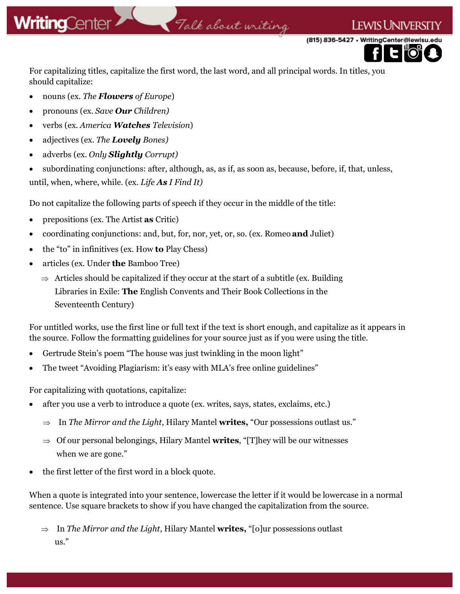## .<br>Talk about writing

(815) 836-5427 · WritingCenter@lewisu.



**LEWIS UNIVERSI** 

For capitalizing titles, capitalize the first word, the last word, and all principal words. In titles, you should capitalize:

- nouns (ex. *The Flowers of Europe*)
- pronouns (ex. *Save Our Children)*
- verbs (ex. *America Watches Television*)
- adjectives (ex. *The Lovely Bones)*
- adverbs (ex. *Only Slightly Corrupt)*

• subordinating conjunctions: after, although, as, as if, as soon as, because, before, if, that, unless, until, when, where, while. (ex. *Life As I Find It)*

Do not capitalize the following parts of speech if they occur in the middle of the title:

- prepositions (ex. The Artist **as** Critic)
- coordinating conjunctions: and, but, for, nor, yet, or, so. (ex. Romeo **and** Juliet)
- the "to" in infinitives (ex. How **to** Play Chess)
- articles (ex. Under **the** Bamboo Tree)
	- $\Rightarrow$  Articles should be capitalized if they occur at the start of a subtitle (ex. Building Libraries in Exile: **The** English Convents and Their Book Collections in the Seventeenth Century)

For untitled works, use the first line or full text if the text is short enough, and capitalize as it appears in the source. Follow the formatting guidelines for your source just as if you were using the title.

- Gertrude Stein's poem "The house was just twinkling in the moon light"
- The tweet "Avoiding Plagiarism: it's easy with MLA's free online guidelines"

For capitalizing with quotations, capitalize:

- after you use a verb to introduce a quote (ex. writes, says, states, exclaims, etc.)
	- $\Rightarrow$  In *The Mirror and the Light*, Hilary Mantel **writes,** "Our possessions outlast us."
	- $\Rightarrow$  Of our personal belongings, Hilary Mantel **writes**, "[T]hey will be our witnesses when we are gone."
- the first letter of the first word in a block quote.

When a quote is integrated into your sentence, lowercase the letter if it would be lowercase in a normal sentence. Use square brackets to show if you have changed the capitalization from the source.

 $\Rightarrow$  In *The Mirror and the Light*, Hilary Mantel **writes**, "[o]ur possessions outlast us."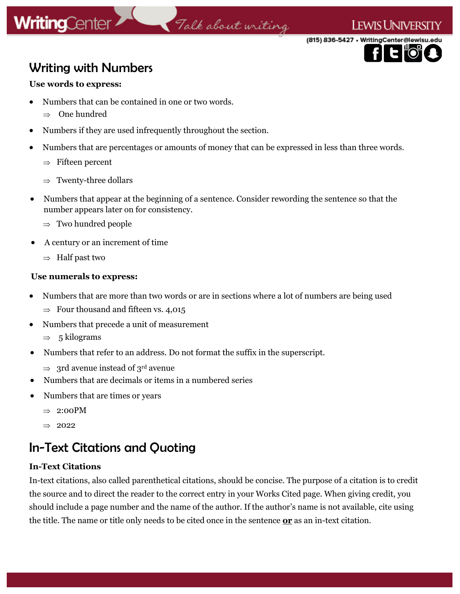### Talk about writing

(815) 836-5427 • WritingCenter@lewisu.edu

**LEWIS UNIVERSITY** 

### Writing with Numbers

### **Use words to express:**

- Numbers that can be contained in one or two words.
	- $\Rightarrow$  One hundred
- Numbers if they are used infrequently throughout the section.
- Numbers that are percentages or amounts of money that can be expressed in less than three words.
	- $\Rightarrow$  Fifteen percent
	- $\Rightarrow$  Twenty-three dollars
- Numbers that appear at the beginning of a sentence. Consider rewording the sentence so that the number appears later on for consistency.
	- $\Rightarrow$  Two hundred people
- A century or an increment of time
	- $\Rightarrow$  Half past two

### **Use numerals to express:**

- Numbers that are more than two words or are in sections where a lot of numbers are being used
	- $\Rightarrow$  Four thousand and fifteen vs. 4,015
- Numbers that precede a unit of measurement
	- $\Rightarrow$  5 kilograms
- Numbers that refer to an address. Do not format the suffix in the superscript.
	- $\Rightarrow$  3rd avenue instead of 3<sup>rd</sup> avenue
- Numbers that are decimals or items in a numbered series
- Numbers that are times or years
	- $\Rightarrow$  2:00PM
	- $\Rightarrow$  2022

### In-Text Citations and Quoting

### **In-Text Citations**

In-text citations, also called parenthetical citations, should be concise. The purpose of a citation is to credit the source and to direct the reader to the correct entry in your Works Cited page. When giving credit, you should include a page number and the name of the author. If the author's name is not available, cite using the title. The name or title only needs to be cited once in the sentence **or** as an in-text citation.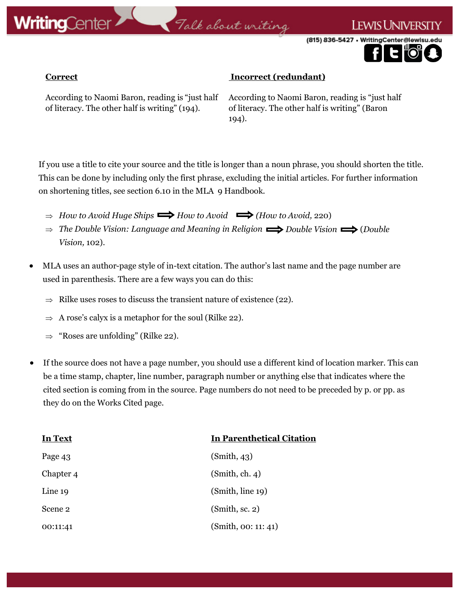

.<br>Talk about writing

(815) 836-5427 · WritingCenter@lewisu

I ewis University

### **Correct Incorrect** (redundant)

According to Naomi Baron, reading is "just half of literacy. The other half is writing" (194).

According to Naomi Baron, reading is "just half of literacy. The other half is writing" (Baron 194).

If you use a title to cite your source and the title is longer than a noun phrase, you should shorten the title. This can be done by including only the first phrase, excluding the initial articles. For further information on shortening titles, see section 6.10 in the MLA 9 Handbook.

- $\Rightarrow$  *How to Avoid Huge Ships*  $\Rightarrow$  *How to Avoid*  $\Rightarrow$  *(How to Avoid, 220)*
- $\Rightarrow$  The Double Vision: Language and Meaning in Religion  $\Rightarrow$  Double Vision  $\Rightarrow$  (Double *Vision,* 102).
- MLA uses an author-page style of in-text citation. The author's last name and the page number are used in parenthesis. There are a few ways you can do this:
	- $\Rightarrow$  Rilke uses roses to discuss the transient nature of existence (22).
	- $\Rightarrow$  A rose's calyx is a metaphor for the soul (Rilke 22).
	- $\Rightarrow$  "Roses are unfolding" (Rilke 22).
- If the source does not have a page number, you should use a different kind of location marker. This can be a time stamp, chapter, line number, paragraph number or anything else that indicates where the cited section is coming from in the source. Page numbers do not need to be preceded by p. or pp. as they do on the Works Cited page.

| <b>In Text</b> | In Parenthetical Citation |
|----------------|---------------------------|
| Page 43        | (Smith, 43)               |
| Chapter 4      | (Smith, ch. 4)            |
| Line 19        | (Smith, line 19)          |
| Scene 2        | (Smith, sc. 2)            |
| 00:11:41       | (Smith, 00: 11: 41)       |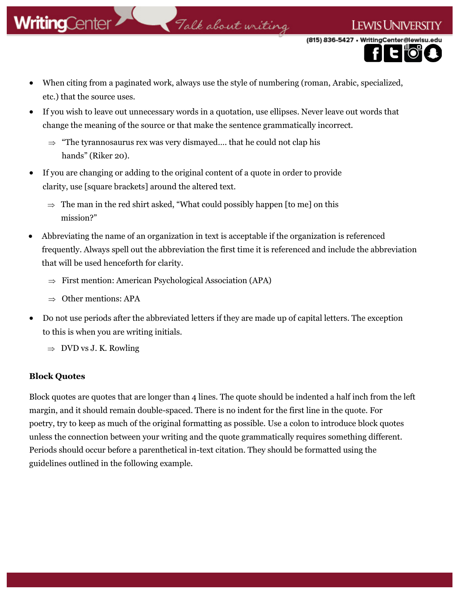### .<br>Talk about writing

(815) 836-5427 · WritingCenter@lewisu

I ewist Inivers

- When citing from a paginated work, always use the style of numbering (roman, Arabic, specialized, etc.) that the source uses.
- If you wish to leave out unnecessary words in a quotation, use ellipses. Never leave out words that change the meaning of the source or that make the sentence grammatically incorrect.
	- $\Rightarrow$  "The tyrannosaurus rex was very dismayed.... that he could not clap his hands" (Riker 20).
- If you are changing or adding to the original content of a quote in order to provide clarity, use [square brackets] around the altered text.
	- $\Rightarrow$  The man in the red shirt asked, "What could possibly happen [to me] on this mission?"
- Abbreviating the name of an organization in text is acceptable if the organization is referenced frequently. Always spell out the abbreviation the first time it is referenced and include the abbreviation that will be used henceforth for clarity.
	- $\Rightarrow$  First mention: American Psychological Association (APA)
	- $\Rightarrow$  Other mentions: APA
- Do not use periods after the abbreviated letters if they are made up of capital letters. The exception to this is when you are writing initials.
	- $\Rightarrow$  DVD vs J. K. Rowling

### **Block Quotes**

Block quotes are quotes that are longer than 4 lines. The quote should be indented a half inch from the left margin, and it should remain double-spaced. There is no indent for the first line in the quote. For poetry, try to keep as much of the original formatting as possible. Use a colon to introduce block quotes unless the connection between your writing and the quote grammatically requires something different. Periods should occur before a parenthetical in-text citation. They should be formatted using the guidelines outlined in the following example.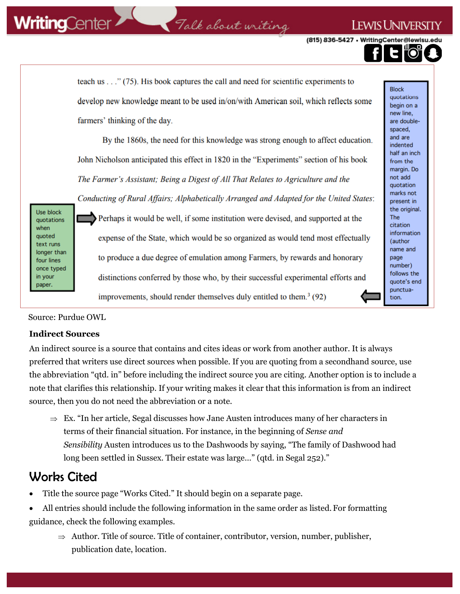### Talk about writing

(815) 836-5427 · WritingCenter@lewisu

**LEWIS UNIVERSI** 

teach us . . . " (75). His book captures the call and need for scientific experiments to **Block** quotations develop new knowledge meant to be used in/on/with American soil, which reflects some begin on a new line. farmers' thinking of the day. are doublespaced, and are By the 1860s, the need for this knowledge was strong enough to affect education. indented half an inch John Nicholson anticipated this effect in 1820 in the "Experiments" section of his book from the margin. Do not add The Farmer's Assistant; Being a Digest of All That Relates to Agriculture and the quotation marks not Conducting of Rural Affairs; Alphabetically Arranged and Adapted for the United States: present in the original. Use block Perhaps it would be well, if some institution were devised, and supported at the **The** quotations citation information quoted expense of the State, which would be so organized as would tend most effectually (author text runs name and longer than to produce a due degree of emulation among Farmers, by rewards and honorary page four lines number) once typed follows the distinctions conferred by those who, by their successful experimental efforts and in your quote's end punctuaimprovements, should render themselves duly entitled to them.<sup>3</sup>  $(92)$ tion.

Source: Purdue OWL

when

paper.

### **Indirect Sources**

An indirect source is a source that contains and cites ideas or work from another author. It is always preferred that writers use direct sources when possible. If you are quoting from a secondhand source, use the abbreviation "qtd. in" before including the indirect source you are citing. Another option is to include a note that clarifies this relationship. If your writing makes it clear that this information is from an indirect source, then you do not need the abbreviation or a note.

 $\Rightarrow$  Ex. "In her article, Segal discusses how Jane Austen introduces many of her characters in terms of their financial situation. For instance, in the beginning of *Sense and Sensibility* Austen introduces us to the Dashwoods by saying, "The family of Dashwood had long been settled in Sussex. Their estate was large…" (qtd. in Segal 252)."

### Works Cited

- Title the source page "Works Cited." It should begin on a separate page.
- All entries should include the following information in the same order as listed. For formatting guidance, check the following examples.
	- $\Rightarrow$  Author. Title of source. Title of container, contributor, version, number, publisher, publication date, location.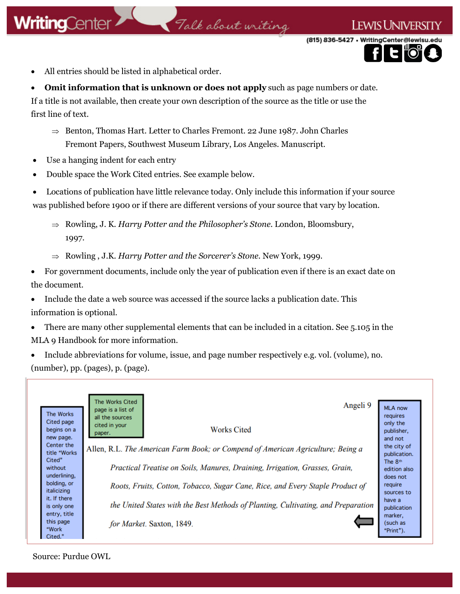• All entries should be listed in alphabetical order.

**Omit information that is unknown or does not apply** such as page numbers or date. If a title is not available, then create your own description of the source as the title or use the first line of text.

Talk about writing

- $\Rightarrow$  Benton, Thomas Hart. Letter to Charles Fremont. 22 June 1987. John Charles Fremont Papers, Southwest Museum Library, Los Angeles. Manuscript.
- Use a hanging indent for each entry
- Double space the Work Cited entries. See example below.

• Locations of publication have little relevance today. Only include this information if your source was published before 1900 or if there are different versions of your source that vary by location.

 Rowling, J. K. *Harry Potter and the Philosopher's Stone.* London, Bloomsbury, 1997.

Rowling , J.K. *Harry Potter and the Sorcerer's Stone.* New York, 1999.

• For government documents, include only the year of publication even if there is an exact date on the document.

• Include the date a web source was accessed if the source lacks a publication date. This information is optional.

- There are many other supplemental elements that can be included in a citation. See 5.105 in the MLA 9 Handbook for more information.
- Include abbreviations for volume, issue, and page number respectively e.g. vol. (volume), no. (number), pp. (pages), p. (page).



Source: Purdue OWL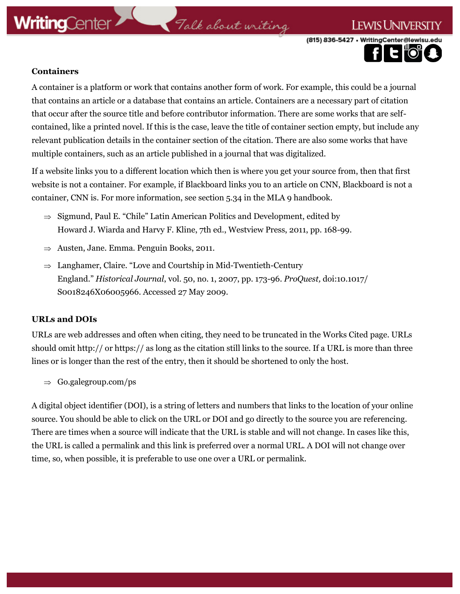### Talk about writing

(815) 836-5427 · WritingCenter@lewisu

**LEWIS UNIVERSITY** 



A container is a platform or work that contains another form of work. For example, this could be a journal that contains an article or a database that contains an article. Containers are a necessary part of citation that occur after the source title and before contributor information. There are some works that are selfcontained, like a printed novel. If this is the case, leave the title of container section empty, but include any relevant publication details in the container section of the citation. There are also some works that have multiple containers, such as an article published in a journal that was digitalized.

If a website links you to a different location which then is where you get your source from, then that first website is not a container. For example, if Blackboard links you to an article on CNN, Blackboard is not a container, CNN is. For more information, see section 5.34 in the MLA 9 handbook.

- $\Rightarrow$  Sigmund, Paul E. "Chile" Latin American Politics and Development, edited by Howard J. Wiarda and Harvy F. Kline, 7th ed., Westview Press, 2011, pp. 168-99.
- $\Rightarrow$  Austen, Jane. Emma. Penguin Books, 2011.
- $\Rightarrow$  Langhamer, Claire. "Love and Courtship in Mid-Twentieth-Century England." *Historical Journal*, vol. 50, no. 1, 2007, pp. 173-96. *ProQuest,* doi:10.1017/ S0018246X06005966. Accessed 27 May 2009.

### **URLs and DOIs**

URLs are web addresses and often when citing, they need to be truncated in the Works Cited page. URLs should omit http:// or https:// as long as the citation still links to the source. If a URL is more than three lines or is longer than the rest of the entry, then it should be shortened to only the host.

 $\Rightarrow$  Go.galegroup.com/ps

A digital object identifier (DOI), is a string of letters and numbers that links to the location of your online source. You should be able to click on the URL or DOI and go directly to the source you are referencing. There are times when a source will indicate that the URL is stable and will not change. In cases like this, the URL is called a permalink and this link is preferred over a normal URL. A DOI will not change over time, so, when possible, it is preferable to use one over a URL or permalink.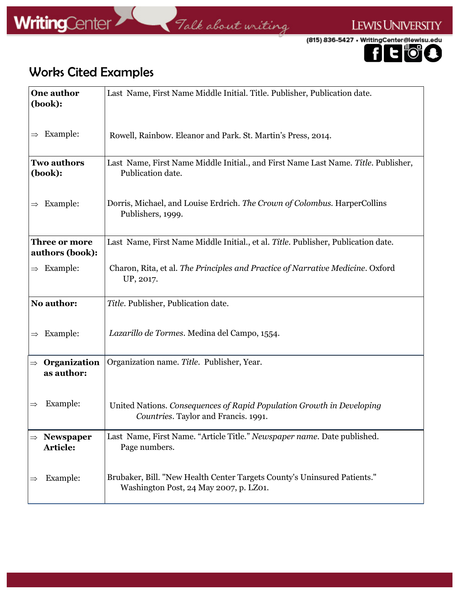





### Works Cited Examples

| <b>One author</b><br>(book):                  | Last Name, First Name Middle Initial. Title. Publisher, Publication date.                                          |
|-----------------------------------------------|--------------------------------------------------------------------------------------------------------------------|
| Example:<br>$\Rightarrow$                     | Rowell, Rainbow. Eleanor and Park. St. Martin's Press, 2014.                                                       |
| <b>Two authors</b><br>(book):                 | Last Name, First Name Middle Initial., and First Name Last Name. Title. Publisher,<br>Publication date.            |
| Example:<br>$\Rightarrow$                     | Dorris, Michael, and Louise Erdrich. The Crown of Colombus. HarperCollins<br>Publishers, 1999.                     |
| Three or more<br>authors (book):              | Last Name, First Name Middle Initial., et al. Title. Publisher, Publication date.                                  |
| $\Rightarrow$ Example:                        | Charon, Rita, et al. The Principles and Practice of Narrative Medicine. Oxford<br>UP, 2017.                        |
| No author:                                    | Title. Publisher, Publication date.                                                                                |
| Example:<br>$\Rightarrow$                     | Lazarillo de Tormes. Medina del Campo, 1554.                                                                       |
| Organization<br>$\Rightarrow$<br>as author:   | Organization name. Title. Publisher, Year.                                                                         |
| Example:<br>$\Rightarrow$                     | United Nations. Consequences of Rapid Population Growth in Developing<br>Countries. Taylor and Francis. 1991.      |
| <b>Newspaper</b><br>$\Rightarrow$<br>Article: | Last Name, First Name. "Article Title." Newspaper name. Date published.<br>Page numbers.                           |
| Example:                                      | Brubaker, Bill. "New Health Center Targets County's Uninsured Patients."<br>Washington Post, 24 May 2007, p. LZ01. |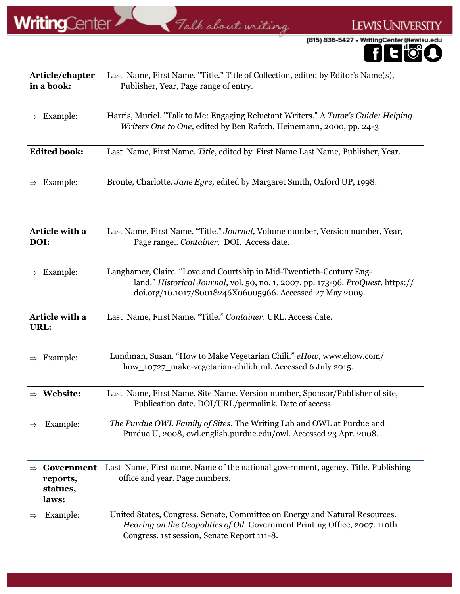Falk about writing

 $\mathbb{R}^n$ 

LEWIS UNIVERSITY



| Article/chapter<br>in a book:               | Last Name, First Name. "Title." Title of Collection, edited by Editor's Name(s),<br>Publisher, Year, Page range of entry.                                                                                           |
|---------------------------------------------|---------------------------------------------------------------------------------------------------------------------------------------------------------------------------------------------------------------------|
| $\Rightarrow$ Example:                      | Harris, Muriel. "Talk to Me: Engaging Reluctant Writers." A Tutor's Guide: Helping<br>Writers One to One, edited by Ben Rafoth, Heinemann, 2000, pp. 24-3                                                           |
| <b>Edited book:</b>                         | Last Name, First Name. Title, edited by First Name Last Name, Publisher, Year.                                                                                                                                      |
| $\Rightarrow$ Example:                      | Bronte, Charlotte. Jane Eyre, edited by Margaret Smith, Oxford UP, 1998.                                                                                                                                            |
| Article with a<br>DOI:                      | Last Name, First Name. "Title." Journal, Volume number, Version number, Year,<br>Page range,. Container. DOI. Access date.                                                                                          |
| $\Rightarrow$ Example:                      | Langhamer, Claire. "Love and Courtship in Mid-Twentieth-Century Eng-<br>land." Historical Journal, vol. 50, no. 1, 2007, pp. 173-96. ProQuest, https://<br>doi.org/10.1017/S0018246X06005966. Accessed 27 May 2009. |
| Article with a<br>URL:                      | Last Name, First Name. "Title." Container. URL. Access date.                                                                                                                                                        |
| $\Rightarrow$ Example:                      | Lundman, Susan. "How to Make Vegetarian Chili." eHow, www.ehow.com/<br>how_10727_make-vegetarian-chili.html. Accessed 6 July 2015.                                                                                  |
| $\Rightarrow$ Website:                      | Last Name, First Name. Site Name. Version number, Sponsor/Publisher of site,<br>Publication date, DOI/URL/permalink. Date of access.                                                                                |
| Example:                                    | The Purdue OWL Family of Sites. The Writing Lab and OWL at Purdue and<br>Purdue U, 2008, owl.english.purdue.edu/owl. Accessed 23 Apr. 2008.                                                                         |
| Government<br>reports,<br>statues,<br>laws: | Last Name, First name. Name of the national government, agency. Title. Publishing<br>office and year. Page numbers.                                                                                                 |
| Example:                                    | United States, Congress, Senate, Committee on Energy and Natural Resources.<br>Hearing on the Geopolitics of Oil. Government Printing Office, 2007. 110th<br>Congress, 1st session, Senate Report 111-8.            |